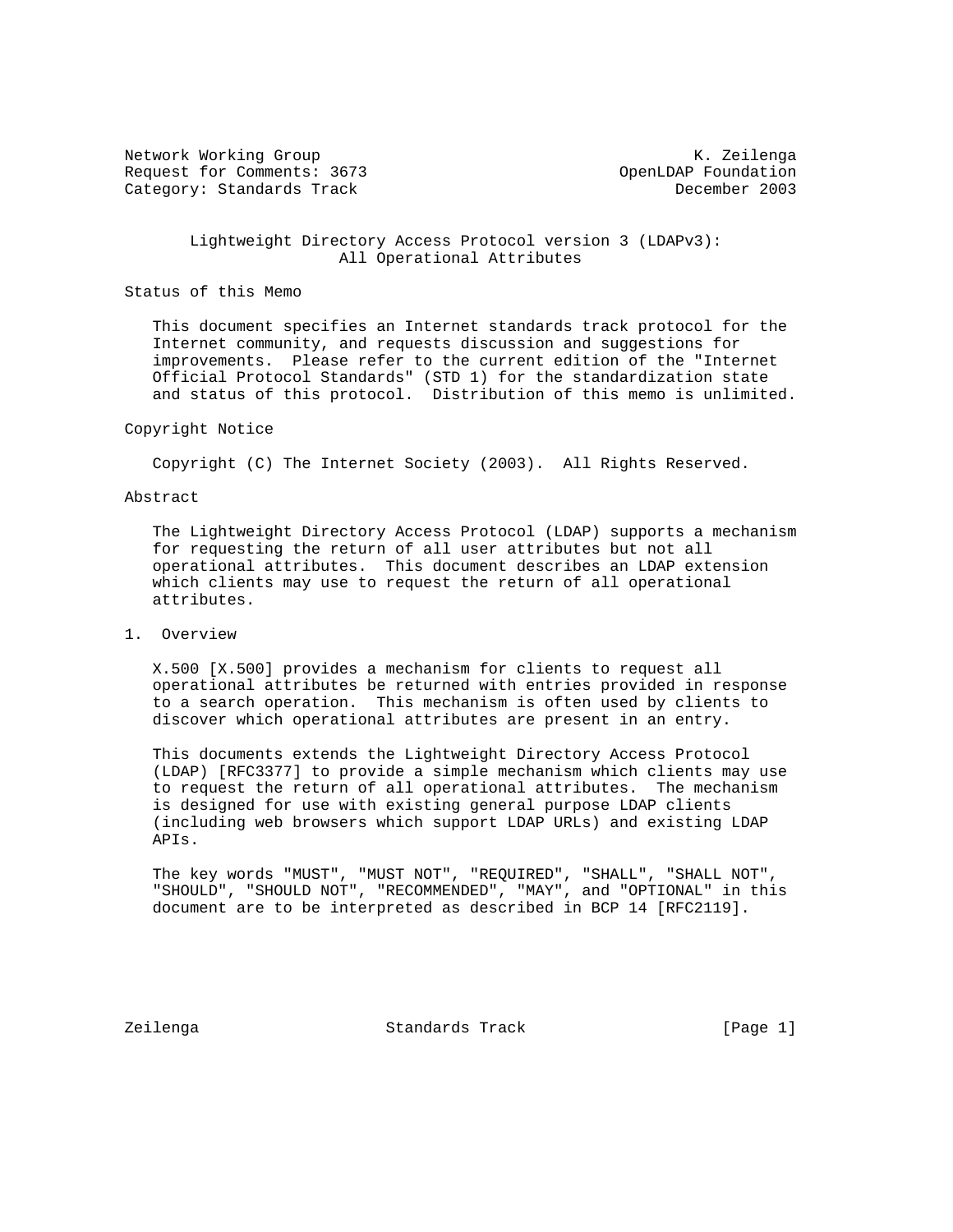Network Working Group and Month Communications of the Month Communication of the Month Communication of the Mo Request for Comments: 3673 OpenLDAP Foundation Category: Standards Track December 2003

 Lightweight Directory Access Protocol version 3 (LDAPv3): All Operational Attributes

Status of this Memo

 This document specifies an Internet standards track protocol for the Internet community, and requests discussion and suggestions for improvements. Please refer to the current edition of the "Internet Official Protocol Standards" (STD 1) for the standardization state and status of this protocol. Distribution of this memo is unlimited.

#### Copyright Notice

Copyright (C) The Internet Society (2003). All Rights Reserved.

#### Abstract

 The Lightweight Directory Access Protocol (LDAP) supports a mechanism for requesting the return of all user attributes but not all operational attributes. This document describes an LDAP extension which clients may use to request the return of all operational attributes.

# 1. Overview

 X.500 [X.500] provides a mechanism for clients to request all operational attributes be returned with entries provided in response to a search operation. This mechanism is often used by clients to discover which operational attributes are present in an entry.

 This documents extends the Lightweight Directory Access Protocol (LDAP) [RFC3377] to provide a simple mechanism which clients may use to request the return of all operational attributes. The mechanism is designed for use with existing general purpose LDAP clients (including web browsers which support LDAP URLs) and existing LDAP APIs.

 The key words "MUST", "MUST NOT", "REQUIRED", "SHALL", "SHALL NOT", "SHOULD", "SHOULD NOT", "RECOMMENDED", "MAY", and "OPTIONAL" in this document are to be interpreted as described in BCP 14 [RFC2119].

Zeilenga Standards Track [Page 1]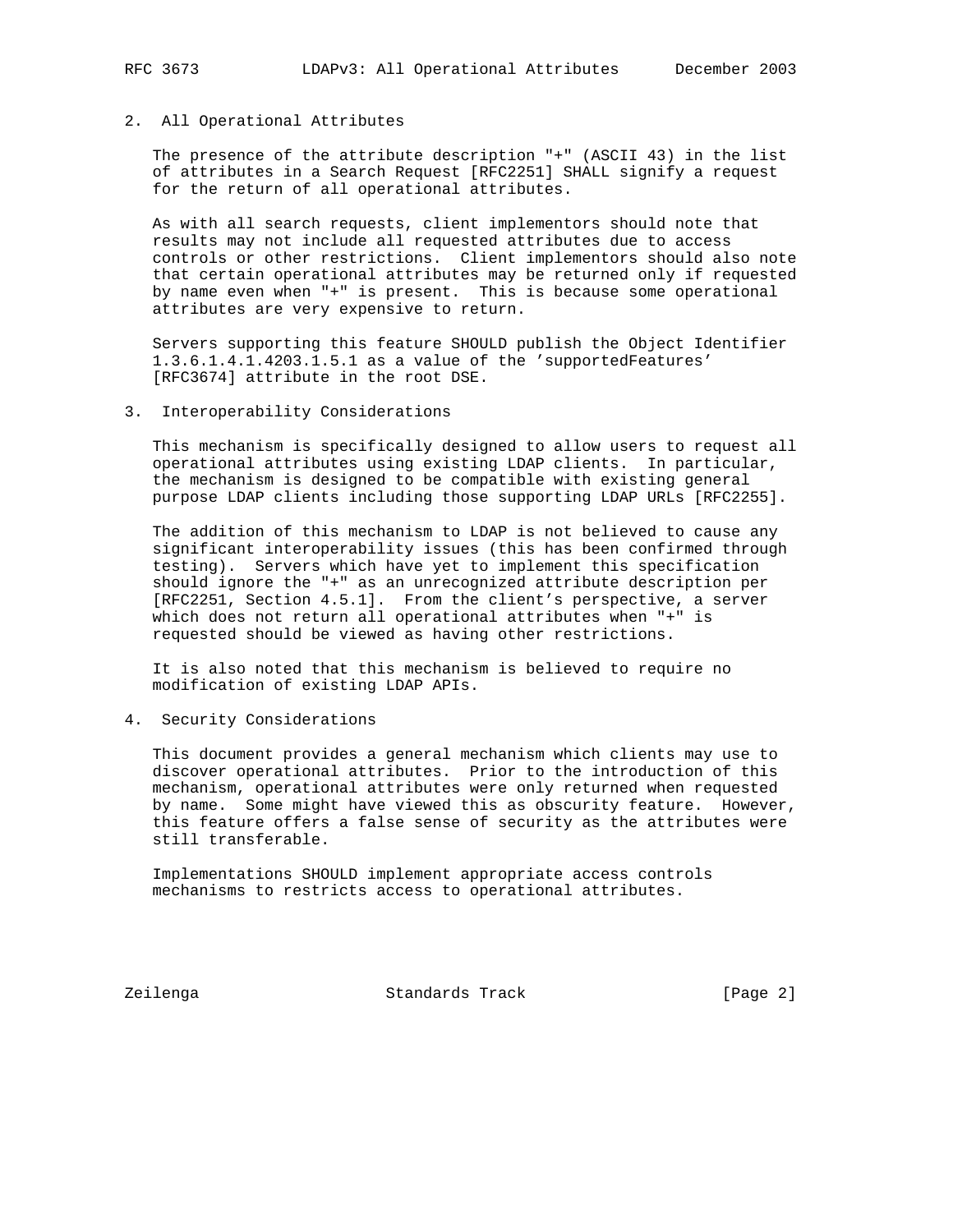# 2. All Operational Attributes

 The presence of the attribute description "+" (ASCII 43) in the list of attributes in a Search Request [RFC2251] SHALL signify a request for the return of all operational attributes.

 As with all search requests, client implementors should note that results may not include all requested attributes due to access controls or other restrictions. Client implementors should also note that certain operational attributes may be returned only if requested by name even when "+" is present. This is because some operational attributes are very expensive to return.

 Servers supporting this feature SHOULD publish the Object Identifier 1.3.6.1.4.1.4203.1.5.1 as a value of the 'supportedFeatures' [RFC3674] attribute in the root DSE.

3. Interoperability Considerations

 This mechanism is specifically designed to allow users to request all operational attributes using existing LDAP clients. In particular, the mechanism is designed to be compatible with existing general purpose LDAP clients including those supporting LDAP URLs [RFC2255].

 The addition of this mechanism to LDAP is not believed to cause any significant interoperability issues (this has been confirmed through testing). Servers which have yet to implement this specification should ignore the "+" as an unrecognized attribute description per [RFC2251, Section 4.5.1]. From the client's perspective, a server which does not return all operational attributes when "+" is requested should be viewed as having other restrictions.

 It is also noted that this mechanism is believed to require no modification of existing LDAP APIs.

4. Security Considerations

 This document provides a general mechanism which clients may use to discover operational attributes. Prior to the introduction of this mechanism, operational attributes were only returned when requested by name. Some might have viewed this as obscurity feature. However, this feature offers a false sense of security as the attributes were still transferable.

 Implementations SHOULD implement appropriate access controls mechanisms to restricts access to operational attributes.

Zeilenga Standards Track [Page 2]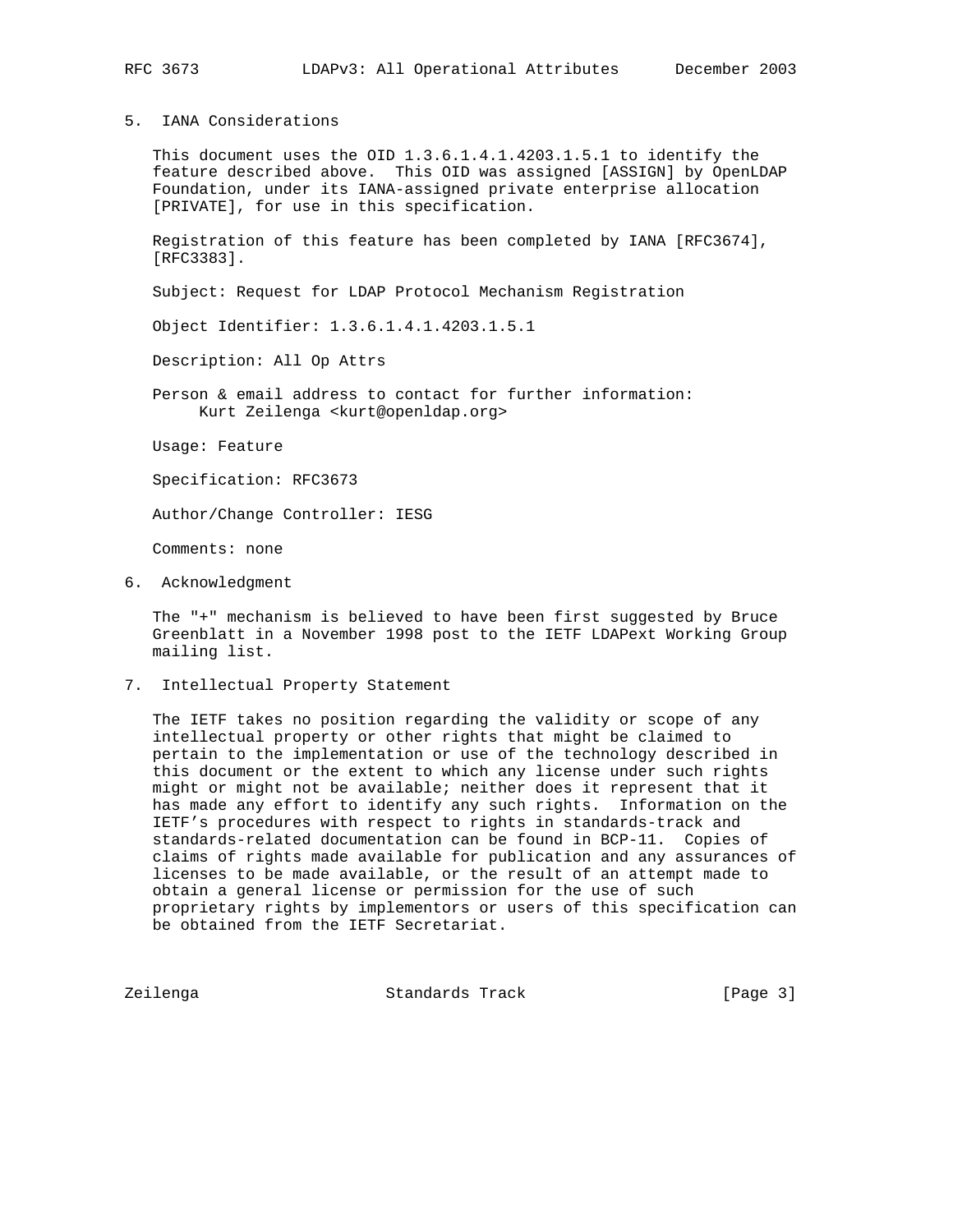5. IANA Considerations

 This document uses the OID 1.3.6.1.4.1.4203.1.5.1 to identify the feature described above. This OID was assigned [ASSIGN] by OpenLDAP Foundation, under its IANA-assigned private enterprise allocation [PRIVATE], for use in this specification.

 Registration of this feature has been completed by IANA [RFC3674], [RFC3383].

Subject: Request for LDAP Protocol Mechanism Registration

Object Identifier: 1.3.6.1.4.1.4203.1.5.1

Description: All Op Attrs

 Person & email address to contact for further information: Kurt Zeilenga <kurt@openldap.org>

Usage: Feature

Specification: RFC3673

Author/Change Controller: IESG

Comments: none

6. Acknowledgment

 The "+" mechanism is believed to have been first suggested by Bruce Greenblatt in a November 1998 post to the IETF LDAPext Working Group mailing list.

7. Intellectual Property Statement

 The IETF takes no position regarding the validity or scope of any intellectual property or other rights that might be claimed to pertain to the implementation or use of the technology described in this document or the extent to which any license under such rights might or might not be available; neither does it represent that it has made any effort to identify any such rights. Information on the IETF's procedures with respect to rights in standards-track and standards-related documentation can be found in BCP-11. Copies of claims of rights made available for publication and any assurances of licenses to be made available, or the result of an attempt made to obtain a general license or permission for the use of such proprietary rights by implementors or users of this specification can be obtained from the IETF Secretariat.

Zeilenga Standards Track [Page 3]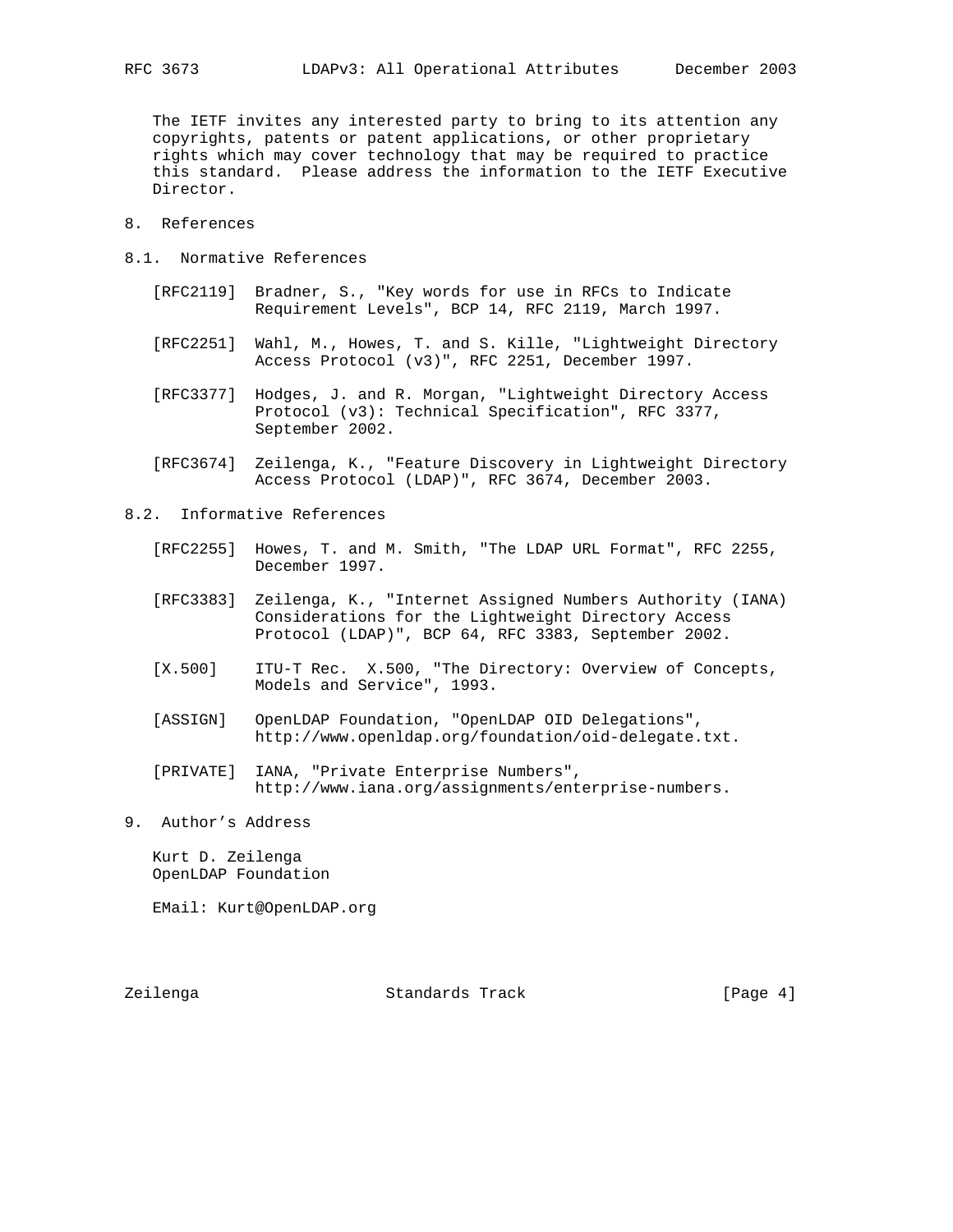The IETF invites any interested party to bring to its attention any copyrights, patents or patent applications, or other proprietary rights which may cover technology that may be required to practice this standard. Please address the information to the IETF Executive Director.

- 8. References
- 8.1. Normative References
	- [RFC2119] Bradner, S., "Key words for use in RFCs to Indicate Requirement Levels", BCP 14, RFC 2119, March 1997.
	- [RFC2251] Wahl, M., Howes, T. and S. Kille, "Lightweight Directory Access Protocol (v3)", RFC 2251, December 1997.
	- [RFC3377] Hodges, J. and R. Morgan, "Lightweight Directory Access Protocol (v3): Technical Specification", RFC 3377, September 2002.
	- [RFC3674] Zeilenga, K., "Feature Discovery in Lightweight Directory Access Protocol (LDAP)", RFC 3674, December 2003.
- 8.2. Informative References
	- [RFC2255] Howes, T. and M. Smith, "The LDAP URL Format", RFC 2255, December 1997.
	- [RFC3383] Zeilenga, K., "Internet Assigned Numbers Authority (IANA) Considerations for the Lightweight Directory Access Protocol (LDAP)", BCP 64, RFC 3383, September 2002.
	- [X.500] ITU-T Rec. X.500, "The Directory: Overview of Concepts, Models and Service", 1993.
	- [ASSIGN] OpenLDAP Foundation, "OpenLDAP OID Delegations", http://www.openldap.org/foundation/oid-delegate.txt.
	- [PRIVATE] IANA, "Private Enterprise Numbers", http://www.iana.org/assignments/enterprise-numbers.
- 9. Author's Address

 Kurt D. Zeilenga OpenLDAP Foundation

EMail: Kurt@OpenLDAP.org

Zeilenga **Standards Track** [Page 4]